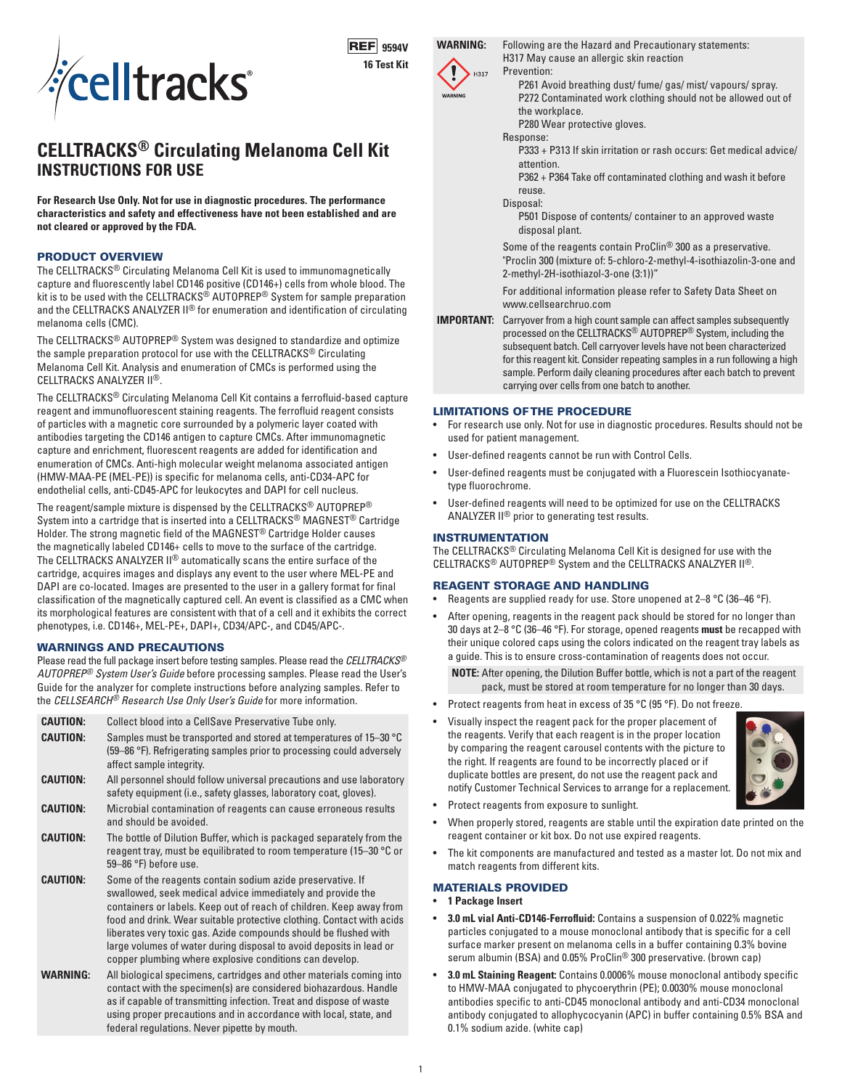

**REF** 9594V **16 Test Kit**

# **H317**

**WARNING:** Following are the Hazard and Precautionary statements: H317 May cause an allergic skin reaction

Prevention: P261 Avoid breathing dust/ fume/ gas/ mist/ vapours/ spray. P272 Contaminated work clothing should not be allowed out of the workplace. P280 Wear protective gloves.

# Response:

P333 + P313 If skin irritation or rash occurs: Get medical advice/ attention.

P362 + P364 Take off contaminated clothing and wash it before reuse.

#### Disposal:

P501 Dispose of contents/ container to an approved waste disposal plant.

Some of the reagents contain ProClin® 300 as a preservative. "Proclin 300 (mixture of: 5-chloro-2-methyl-4-isothiazolin-3-one and 2-methyl-2H-isothiazol-3-one (3:1))"

For additional information please refer to Safety Data Sheet on www.cellsearchruo.com

**IMPORTANT:** Carryover from a high count sample can affect samples subsequently processed on the CELLTRACKS® AUTOPREP® System, including the subsequent batch. Cell carryover levels have not been characterized for this reagent kit. Consider repeating samples in a run following a high sample. Perform daily cleaning procedures after each batch to prevent carrying over cells from one batch to another.

#### LIMITATIONS OF THE PROCEDURE

- For research use only. Not for use in diagnostic procedures. Results should not be used for patient management.
- User-defined reagents cannot be run with Control Cells.
- User-defined reagents must be conjugated with a Fluorescein Isothiocyanatetype fluorochrome.
- User-defined reagents will need to be optimized for use on the CELLTRACKS ANALYZER II® prior to generating test results.

#### INSTRUMENTATION

The CELLTRACKS® Circulating Melanoma Cell Kit is designed for use with the CELLTRACKS® AUTOPREP® System and the CELLTRACKS ANALZYER II®.

#### REAGENT STORAGE AND HANDLING

- Reagents are supplied ready for use. Store unopened at 2–8 °C (36–46 °F).
- After opening, reagents in the reagent pack should be stored for no longer than 30 days at 2–8 °C (36–46 °F). For storage, opened reagents **must** be recapped with their unique colored caps using the colors indicated on the reagent tray labels as a guide. This is to ensure cross-contamination of reagents does not occur.

**NOTE:** After opening, the Dilution Buffer bottle, which is not a part of the reagent pack, must be stored at room temperature for no longer than 30 days.

- Protect reagents from heat in excess of 35 °C (95 °F). Do not freeze.
- Visually inspect the reagent pack for the proper placement of the reagents. Verify that each reagent is in the proper location by comparing the reagent carousel contents with the picture to the right. If reagents are found to be incorrectly placed or if duplicate bottles are present, do not use the reagent pack and notify Customer Technical Services to arrange for a replacement.



- Protect reagents from exposure to sunlight.
- When properly stored, reagents are stable until the expiration date printed on the reagent container or kit box. Do not use expired reagents.
- The kit components are manufactured and tested as a master lot. Do not mix and match reagents from different kits.

# MATERIALS PROVIDED

- **1 Package Insert**
- **3.0 mL vial Anti-CD146-Ferrofluid:** Contains a suspension of 0.022% magnetic particles conjugated to a mouse monoclonal antibody that is specific for a cell surface marker present on melanoma cells in a buffer containing 0.3% bovine serum albumin (BSA) and 0.05% ProClin® 300 preservative. (brown cap)
- **3.0 mL Staining Reagent:** Contains 0.0006% mouse monoclonal antibody specific to HMW-MAA conjugated to phycoerythrin (PE); 0.0030% mouse monoclonal antibodies specific to anti-CD45 monoclonal antibody and anti-CD34 monoclonal antibody conjugated to allophycocyanin (APC) in buffer containing 0.5% BSA and 0.1% sodium azide. (white cap)

# **CELLTRACKS® Circulating Melanoma Cell Kit INSTRUCTIONS FOR USE**

**For Research Use Only. Not for use in diagnostic procedures. The performance characteristics and safety and effectiveness have not been established and are not cleared or approved by the FDA.**

### PRODUCT OVERVIEW

The CELLTRACKS® Circulating Melanoma Cell Kit is used to immunomagnetically capture and fluorescently label CD146 positive (CD146+) cells from whole blood. The kit is to be used with the CELLTRACKS<sup>®</sup> AUTOPREP<sup>®</sup> System for sample preparation and the CELLTRACKS ANALYZER II® for enumeration and identification of circulating melanoma cells (CMC).

The CELLTRACKS® AUTOPREP® System was designed to standardize and optimize the sample preparation protocol for use with the CELLTRACKS® Circulating Melanoma Cell Kit. Analysis and enumeration of CMCs is performed using the CELLTRACKS ANALYZER II®.

The CELLTRACKS® Circulating Melanoma Cell Kit contains a ferrofluid-based capture reagent and immunofluorescent staining reagents. The ferrofluid reagent consists of particles with a magnetic core surrounded by a polymeric layer coated with antibodies targeting the CD146 antigen to capture CMCs. After immunomagnetic capture and enrichment, fluorescent reagents are added for identification and enumeration of CMCs. Anti-high molecular weight melanoma associated antigen (HMW-MAA-PE (MEL-PE)) is specific for melanoma cells, anti-CD34-APC for endothelial cells, anti-CD45-APC for leukocytes and DAPI for cell nucleus.

The reagent/sample mixture is dispensed by the CELLTRACKS® AUTOPREP® System into a cartridge that is inserted into a CELLTRACKS® MAGNEST® Cartridge Holder. The strong magnetic field of the MAGNEST® Cartridge Holder causes the magnetically labeled CD146+ cells to move to the surface of the cartridge. The CELLTRACKS ANALYZER II® automatically scans the entire surface of the cartridge, acquires images and displays any event to the user where MEL-PE and DAPI are co-located. Images are presented to the user in a gallery format for final classification of the magnetically captured cell. An event is classified as a CMC when its morphological features are consistent with that of a cell and it exhibits the correct phenotypes, i.e. CD146+, MEL-PE+, DAPI+, CD34/APC-, and CD45/APC-.

## WARNINGS AND PRECAUTIONS

Please read the full package insert before testing samples. Please read the *CELLTRACKS® AUTOPREP® System User's Guide* before processing samples. Please read the User's Guide for the analyzer for complete instructions before analyzing samples. Refer to the *CELLSEARCH® Research Use Only User's Guide* for more information.

**CAUTION:** Collect blood into a CellSave Preservative Tube only. **CAUTION:** Samples must be transported and stored at temperatures of 15–30 °C (59–86 °F). Refrigerating samples prior to processing could adversely affect sample integrity. **CAUTION:** All personnel should follow universal precautions and use laboratory safety equipment (i.e., safety glasses, laboratory coat, gloves). **CAUTION:** Microbial contamination of reagents can cause erroneous results and should be avoided. **CAUTION:** The bottle of Dilution Buffer, which is packaged separately from the reagent tray, must be equilibrated to room temperature (15–30 °C or 59–86 °F) before use. **CAUTION:** Some of the reagents contain sodium azide preservative. If swallowed, seek medical advice immediately and provide the containers or labels. Keep out of reach of children. Keep away from food and drink. Wear suitable protective clothing. Contact with acids liberates very toxic gas. Azide compounds should be flushed with large volumes of water during disposal to avoid deposits in lead or copper plumbing where explosive conditions can develop. **WARNING:** All biological specimens, cartridges and other materials coming into contact with the specimen(s) are considered biohazardous. Handle as if capable of transmitting infection. Treat and dispose of waste using proper precautions and in accordance with local, state, and

federal regulations. Never pipette by mouth.